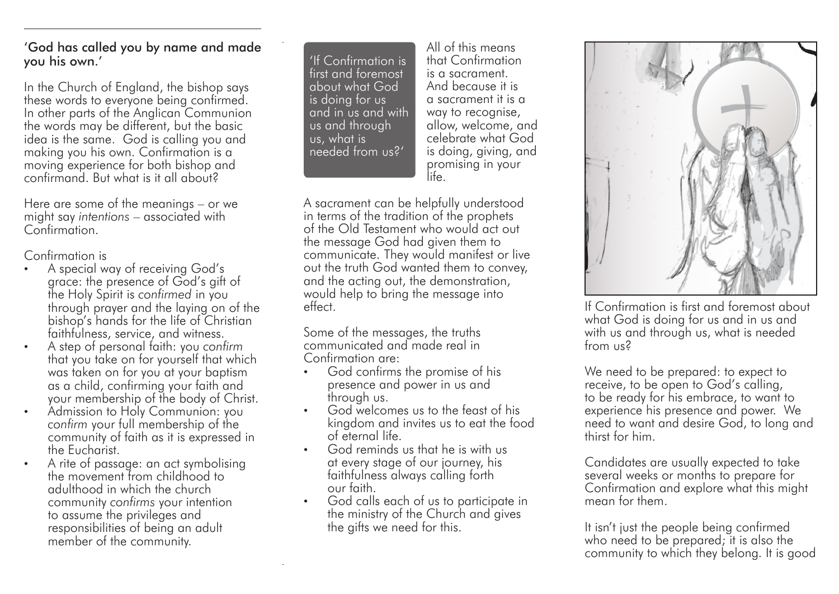## 'God has called you by name and made you his own.'

In the Church of England, the bishop says these words to everyone being confirmed. In other parts of the Anglican Communion the words may be different, but the basic idea is the same. God is calling you and making you his own. Confirmation is a moving experience for both bishop and confirmand. But what is it all about?

Here are some of the meanings – or we might say *intentions* – associated with Confirmation.

Confirmation is

- A special way of receiving God's grace: the presence of God's gift of the Holy Spirit is *confirmed* in you through prayer and the laying on of the bishop's hands for the life of Christian faithfulness, service, and witness.
- A step of personal faith: you *confirm* that you take on for yourself that which was taken on for you at your baptism as a child, confirming your faith and your membership of the body of Christ.
- Admission to Holy Communion: you *confirm* your full membership of the community of faith as it is expressed in the Eucharist.
- A rite of passage: an act symbolising the movement from childhood to adulthood in which the church community *confirms* your intention to assume the privileges and responsibilities of being an adult member of the community.

'If Confirmation is first and foremost about what God is doing for us and in us and with us and through us, what is needed from us?'

All of this means that Confirmation is a sacrament. And because it is a sacrament it is a way to recognise, allow, welcome, and celebrate what God is doing, giving, and promising in your life.

A sacrament can be helpfully understood in terms of the tradition of the prophets of the Old Testament who would act out the message God had given them to communicate. They would manifest or live out the truth God wanted them to convey, and the acting out, the demonstration, would help to bring the message into effect.

Some of the messages, the truths communicated and made real in Confirmation are:

- God confirms the promise of his presence and power in us and through us.
- God welcomes us to the feast of his kingdom and invites us to eat the food of eternal life.
- God reminds us that he is with us at every stage of our journey, his faithfulness always calling forth our faith.
- God calls each of us to participate in the ministry of the Church and gives the gifts we need for this.



If Confirmation is first and foremost about what God is doing for us and in us and with us and through us, what is needed from us?

We need to be prepared: to expect to receive, to be open to God's calling, to be ready for his embrace, to want to experience his presence and power. We need to want and desire God, to long and thirst for him.

Candidates are usually expected to take several weeks or months to prepare for Confirmation and explore what this might mean for them.

It isn't just the people being confirmed who need to be prepared; it is also the community to which they belong. It is good